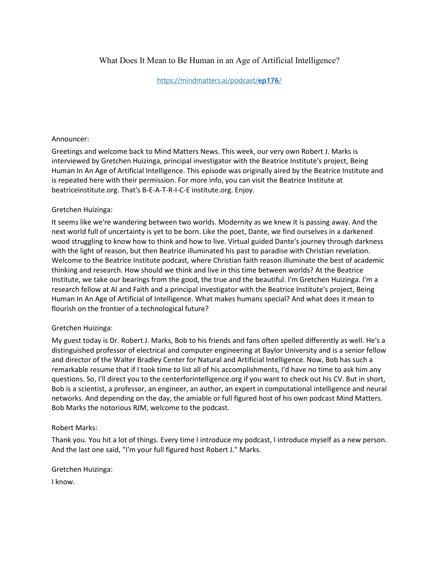# What Does It Mean to Be Human in an Age of Artificial Intelligence?

[https://mindmatters.ai/podcast/](https://mindmatters.ai/podcast/ep176/)**ep176**/

### Announcer:

Greetings and welcome back to Mind Matters News. This week, our very own Robert J. Marks is interviewed by Gretchen Huizinga, principal investigator with the Beatrice Institute's project, Being Human In An Age of Artificial Intelligence. This episode was originally aired by the Beatrice Institute and is repeated here with their permission. For more info, you can visit the Beatrice Institute at beatriceinstitute.org. That's B-E-A-T-R-I-C-E institute.org. Enjoy.

## Gretchen Huizinga:

It seems like we're wandering between two worlds. Modernity as we knew it is passing away. And the next world full of uncertainty is yet to be born. Like the poet, Dante, we find ourselves in a darkened wood struggling to know how to think and how to live. Virtual guided Dante's journey through darkness with the light of reason, but then Beatrice illuminated his past to paradise with Christian revelation. Welcome to the Beatrice Institute podcast, where Christian faith reason illuminate the best of academic thinking and research. How should we think and live in this time between worlds? At the Beatrice Institute, we take our bearings from the good, the true and the beautiful. I'm Gretchen Huizinga. I'm a research fellow at AI and Faith and a principal investigator with the Beatrice Institute's project, Being Human In An Age of Artificial of Intelligence. What makes humans special? And what does it mean to flourish on the frontier of a technological future?

## Gretchen Huizinga:

My guest today is Dr. Robert J. Marks, Bob to his friends and fans often spelled differently as well. He's a distinguished professor of electrical and computer engineering at Baylor University and is a senior fellow and director of the Walter Bradley Center for Natural and Artificial Intelligence. Now, Bob has such a remarkable resume that if I took time to list all of his accomplishments, I'd have no time to ask him any questions. So, I'll direct you to the centerforintelligence.org if you want to check out his CV. But in short, Bob is a scientist, a professor, an engineer, an author, an expert in computational intelligence and neural networks. And depending on the day, the amiable or full figured host of his own podcast Mind Matters. Bob Marks the notorious RJM, welcome to the podcast.

#### Robert Marks:

Thank you. You hit a lot of things. Every time I introduce my podcast, I introduce myself as a new person. And the last one said, "I'm your full figured host Robert J." Marks.

Gretchen Huizinga:

I know.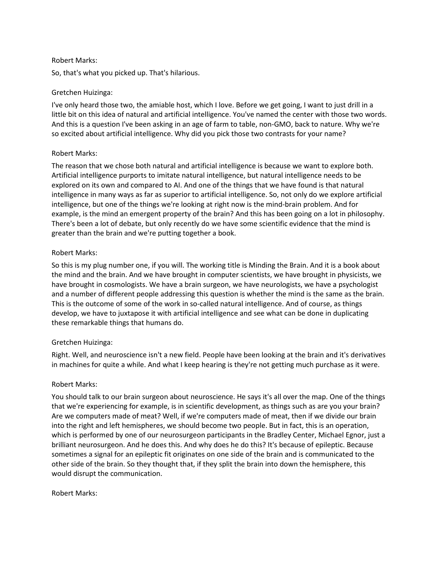### Robert Marks:

So, that's what you picked up. That's hilarious.

## Gretchen Huizinga:

I've only heard those two, the amiable host, which I love. Before we get going, I want to just drill in a little bit on this idea of natural and artificial intelligence. You've named the center with those two words. And this is a question I've been asking in an age of farm to table, non-GMO, back to nature. Why we're so excited about artificial intelligence. Why did you pick those two contrasts for your name?

## Robert Marks:

The reason that we chose both natural and artificial intelligence is because we want to explore both. Artificial intelligence purports to imitate natural intelligence, but natural intelligence needs to be explored on its own and compared to AI. And one of the things that we have found is that natural intelligence in many ways as far as superior to artificial intelligence. So, not only do we explore artificial intelligence, but one of the things we're looking at right now is the mind-brain problem. And for example, is the mind an emergent property of the brain? And this has been going on a lot in philosophy. There's been a lot of debate, but only recently do we have some scientific evidence that the mind is greater than the brain and we're putting together a book.

## Robert Marks:

So this is my plug number one, if you will. The working title is Minding the Brain. And it is a book about the mind and the brain. And we have brought in computer scientists, we have brought in physicists, we have brought in cosmologists. We have a brain surgeon, we have neurologists, we have a psychologist and a number of different people addressing this question is whether the mind is the same as the brain. This is the outcome of some of the work in so-called natural intelligence. And of course, as things develop, we have to juxtapose it with artificial intelligence and see what can be done in duplicating these remarkable things that humans do.

# Gretchen Huizinga:

Right. Well, and neuroscience isn't a new field. People have been looking at the brain and it's derivatives in machines for quite a while. And what I keep hearing is they're not getting much purchase as it were.

# Robert Marks:

You should talk to our brain surgeon about neuroscience. He says it's all over the map. One of the things that we're experiencing for example, is in scientific development, as things such as are you your brain? Are we computers made of meat? Well, if we're computers made of meat, then if we divide our brain into the right and left hemispheres, we should become two people. But in fact, this is an operation, which is performed by one of our neurosurgeon participants in the Bradley Center, Michael Egnor, just a brilliant neurosurgeon. And he does this. And why does he do this? It's because of epileptic. Because sometimes a signal for an epileptic fit originates on one side of the brain and is communicated to the other side of the brain. So they thought that, if they split the brain into down the hemisphere, this would disrupt the communication.

## Robert Marks: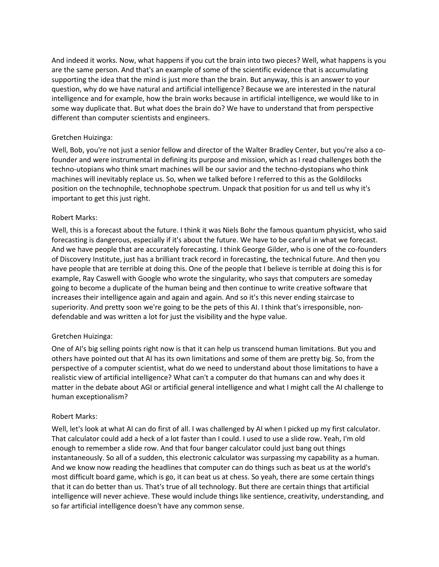And indeed it works. Now, what happens if you cut the brain into two pieces? Well, what happens is you are the same person. And that's an example of some of the scientific evidence that is accumulating supporting the idea that the mind is just more than the brain. But anyway, this is an answer to your question, why do we have natural and artificial intelligence? Because we are interested in the natural intelligence and for example, how the brain works because in artificial intelligence, we would like to in some way duplicate that. But what does the brain do? We have to understand that from perspective different than computer scientists and engineers.

## Gretchen Huizinga:

Well, Bob, you're not just a senior fellow and director of the Walter Bradley Center, but you're also a cofounder and were instrumental in defining its purpose and mission, which as I read challenges both the techno-utopians who think smart machines will be our savior and the techno-dystopians who think machines will inevitably replace us. So, when we talked before I referred to this as the Goldilocks position on the technophile, technophobe spectrum. Unpack that position for us and tell us why it's important to get this just right.

## Robert Marks:

Well, this is a forecast about the future. I think it was Niels Bohr the famous quantum physicist, who said forecasting is dangerous, especially if it's about the future. We have to be careful in what we forecast. And we have people that are accurately forecasting. I think George Gilder, who is one of the co-founders of Discovery Institute, just has a brilliant track record in forecasting, the technical future. And then you have people that are terrible at doing this. One of the people that I believe is terrible at doing this is for example, Ray Caswell with Google who wrote the singularity, who says that computers are someday going to become a duplicate of the human being and then continue to write creative software that increases their intelligence again and again and again. And so it's this never ending staircase to superiority. And pretty soon we're going to be the pets of this AI. I think that's irresponsible, nondefendable and was written a lot for just the visibility and the hype value.

# Gretchen Huizinga:

One of AI's big selling points right now is that it can help us transcend human limitations. But you and others have pointed out that AI has its own limitations and some of them are pretty big. So, from the perspective of a computer scientist, what do we need to understand about those limitations to have a realistic view of artificial intelligence? What can't a computer do that humans can and why does it matter in the debate about AGI or artificial general intelligence and what I might call the AI challenge to human exceptionalism?

## Robert Marks:

Well, let's look at what AI can do first of all. I was challenged by AI when I picked up my first calculator. That calculator could add a heck of a lot faster than I could. I used to use a slide row. Yeah, I'm old enough to remember a slide row. And that four banger calculator could just bang out things instantaneously. So all of a sudden, this electronic calculator was surpassing my capability as a human. And we know now reading the headlines that computer can do things such as beat us at the world's most difficult board game, which is go, it can beat us at chess. So yeah, there are some certain things that it can do better than us. That's true of all technology. But there are certain things that artificial intelligence will never achieve. These would include things like sentience, creativity, understanding, and so far artificial intelligence doesn't have any common sense.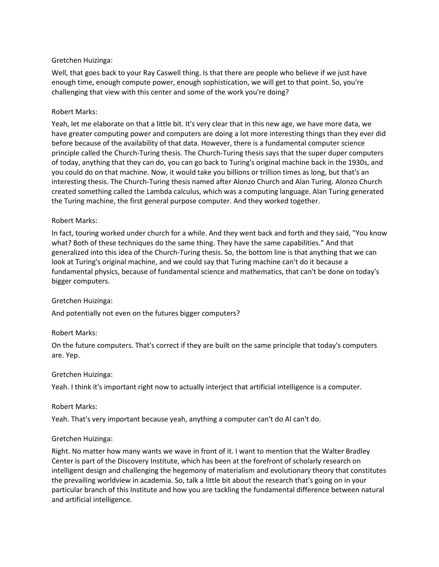## Gretchen Huizinga:

Well, that goes back to your Ray Caswell thing. Is that there are people who believe if we just have enough time, enough compute power, enough sophistication, we will get to that point. So, you're challenging that view with this center and some of the work you're doing?

## Robert Marks:

Yeah, let me elaborate on that a little bit. It's very clear that in this new age, we have more data, we have greater computing power and computers are doing a lot more interesting things than they ever did before because of the availability of that data. However, there is a fundamental computer science principle called the Church-Turing thesis. The Church-Turing thesis says that the super duper computers of today, anything that they can do, you can go back to Turing's original machine back in the 1930s, and you could do on that machine. Now, it would take you billions or trillion times as long, but that's an interesting thesis. The Church-Turing thesis named after Alonzo Church and Alan Turing. Alonzo Church created something called the Lambda calculus, which was a computing language. Alan Turing generated the Turing machine, the first general purpose computer. And they worked together.

## Robert Marks:

In fact, touring worked under church for a while. And they went back and forth and they said, "You know what? Both of these techniques do the same thing. They have the same capabilities." And that generalized into this idea of the Church-Turing thesis. So, the bottom line is that anything that we can look at Turing's original machine, and we could say that Turing machine can't do it because a fundamental physics, because of fundamental science and mathematics, that can't be done on today's bigger computers.

## Gretchen Huizinga:

And potentially not even on the futures bigger computers?

## Robert Marks:

On the future computers. That's correct if they are built on the same principle that today's computers are. Yep.

## Gretchen Huizinga:

Yeah. I think it's important right now to actually interject that artificial intelligence is a computer.

## Robert Marks:

Yeah. That's very important because yeah, anything a computer can't do AI can't do.

# Gretchen Huizinga:

Right. No matter how many wants we wave in front of it. I want to mention that the Walter Bradley Center is part of the Discovery Institute, which has been at the forefront of scholarly research on intelligent design and challenging the hegemony of materialism and evolutionary theory that constitutes the prevailing worldview in academia. So, talk a little bit about the research that's going on in your particular branch of this Institute and how you are tackling the fundamental difference between natural and artificial intelligence.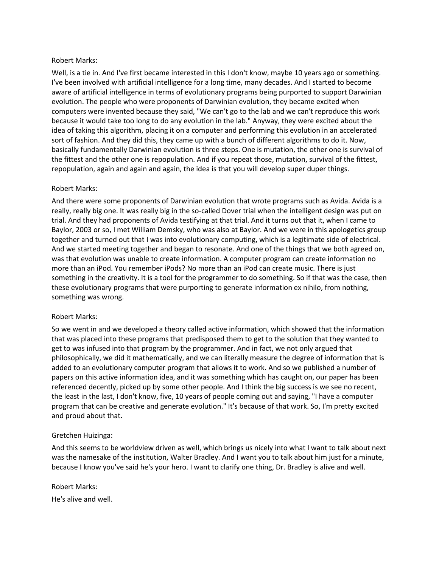### Robert Marks:

Well, is a tie in. And I've first became interested in this I don't know, maybe 10 years ago or something. I've been involved with artificial intelligence for a long time, many decades. And I started to become aware of artificial intelligence in terms of evolutionary programs being purported to support Darwinian evolution. The people who were proponents of Darwinian evolution, they became excited when computers were invented because they said, "We can't go to the lab and we can't reproduce this work because it would take too long to do any evolution in the lab." Anyway, they were excited about the idea of taking this algorithm, placing it on a computer and performing this evolution in an accelerated sort of fashion. And they did this, they came up with a bunch of different algorithms to do it. Now, basically fundamentally Darwinian evolution is three steps. One is mutation, the other one is survival of the fittest and the other one is repopulation. And if you repeat those, mutation, survival of the fittest, repopulation, again and again and again, the idea is that you will develop super duper things.

## Robert Marks:

And there were some proponents of Darwinian evolution that wrote programs such as Avida. Avida is a really, really big one. It was really big in the so-called Dover trial when the intelligent design was put on trial. And they had proponents of Avida testifying at that trial. And it turns out that it, when I came to Baylor, 2003 or so, I met William Demsky, who was also at Baylor. And we were in this apologetics group together and turned out that I was into evolutionary computing, which is a legitimate side of electrical. And we started meeting together and began to resonate. And one of the things that we both agreed on, was that evolution was unable to create information. A computer program can create information no more than an iPod. You remember iPods? No more than an iPod can create music. There is just something in the creativity. It is a tool for the programmer to do something. So if that was the case, then these evolutionary programs that were purporting to generate information ex nihilo, from nothing, something was wrong.

## Robert Marks:

So we went in and we developed a theory called active information, which showed that the information that was placed into these programs that predisposed them to get to the solution that they wanted to get to was infused into that program by the programmer. And in fact, we not only argued that philosophically, we did it mathematically, and we can literally measure the degree of information that is added to an evolutionary computer program that allows it to work. And so we published a number of papers on this active information idea, and it was something which has caught on, our paper has been referenced decently, picked up by some other people. And I think the big success is we see no recent, the least in the last, I don't know, five, 10 years of people coming out and saying, "I have a computer program that can be creative and generate evolution." It's because of that work. So, I'm pretty excited and proud about that.

## Gretchen Huizinga:

And this seems to be worldview driven as well, which brings us nicely into what I want to talk about next was the namesake of the institution, Walter Bradley. And I want you to talk about him just for a minute, because I know you've said he's your hero. I want to clarify one thing, Dr. Bradley is alive and well.

Robert Marks: He's alive and well.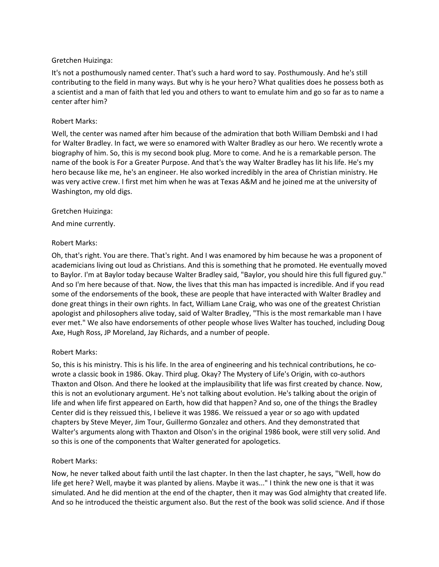## Gretchen Huizinga:

It's not a posthumously named center. That's such a hard word to say. Posthumously. And he's still contributing to the field in many ways. But why is he your hero? What qualities does he possess both as a scientist and a man of faith that led you and others to want to emulate him and go so far as to name a center after him?

## Robert Marks:

Well, the center was named after him because of the admiration that both William Dembski and I had for Walter Bradley. In fact, we were so enamored with Walter Bradley as our hero. We recently wrote a biography of him. So, this is my second book plug. More to come. And he is a remarkable person. The name of the book is For a Greater Purpose. And that's the way Walter Bradley has lit his life. He's my hero because like me, he's an engineer. He also worked incredibly in the area of Christian ministry. He was very active crew. I first met him when he was at Texas A&M and he joined me at the university of Washington, my old digs.

## Gretchen Huizinga:

And mine currently.

## Robert Marks:

Oh, that's right. You are there. That's right. And I was enamored by him because he was a proponent of academicians living out loud as Christians. And this is something that he promoted. He eventually moved to Baylor. I'm at Baylor today because Walter Bradley said, "Baylor, you should hire this full figured guy." And so I'm here because of that. Now, the lives that this man has impacted is incredible. And if you read some of the endorsements of the book, these are people that have interacted with Walter Bradley and done great things in their own rights. In fact, William Lane Craig, who was one of the greatest Christian apologist and philosophers alive today, said of Walter Bradley, "This is the most remarkable man I have ever met." We also have endorsements of other people whose lives Walter has touched, including Doug Axe, Hugh Ross, JP Moreland, Jay Richards, and a number of people.

# Robert Marks:

So, this is his ministry. This is his life. In the area of engineering and his technical contributions, he cowrote a classic book in 1986. Okay. Third plug. Okay? The Mystery of Life's Origin, with co-authors Thaxton and Olson. And there he looked at the implausibility that life was first created by chance. Now, this is not an evolutionary argument. He's not talking about evolution. He's talking about the origin of life and when life first appeared on Earth, how did that happen? And so, one of the things the Bradley Center did is they reissued this, I believe it was 1986. We reissued a year or so ago with updated chapters by Steve Meyer, Jim Tour, Guillermo Gonzalez and others. And they demonstrated that Walter's arguments along with Thaxton and Olson's in the original 1986 book, were still very solid. And so this is one of the components that Walter generated for apologetics.

## Robert Marks:

Now, he never talked about faith until the last chapter. In then the last chapter, he says, "Well, how do life get here? Well, maybe it was planted by aliens. Maybe it was..." I think the new one is that it was simulated. And he did mention at the end of the chapter, then it may was God almighty that created life. And so he introduced the theistic argument also. But the rest of the book was solid science. And if those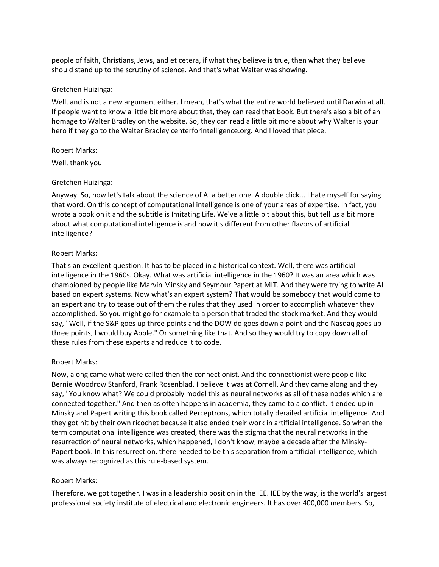people of faith, Christians, Jews, and et cetera, if what they believe is true, then what they believe should stand up to the scrutiny of science. And that's what Walter was showing.

### Gretchen Huizinga:

Well, and is not a new argument either. I mean, that's what the entire world believed until Darwin at all. If people want to know a little bit more about that, they can read that book. But there's also a bit of an homage to Walter Bradley on the website. So, they can read a little bit more about why Walter is your hero if they go to the Walter Bradley centerforintelligence.org. And I loved that piece.

#### Robert Marks:

Well, thank you

## Gretchen Huizinga:

Anyway. So, now let's talk about the science of AI a better one. A double click... I hate myself for saying that word. On this concept of computational intelligence is one of your areas of expertise. In fact, you wrote a book on it and the subtitle is Imitating Life. We've a little bit about this, but tell us a bit more about what computational intelligence is and how it's different from other flavors of artificial intelligence?

### Robert Marks:

That's an excellent question. It has to be placed in a historical context. Well, there was artificial intelligence in the 1960s. Okay. What was artificial intelligence in the 1960? It was an area which was championed by people like Marvin Minsky and Seymour Papert at MIT. And they were trying to write AI based on expert systems. Now what's an expert system? That would be somebody that would come to an expert and try to tease out of them the rules that they used in order to accomplish whatever they accomplished. So you might go for example to a person that traded the stock market. And they would say, "Well, if the S&P goes up three points and the DOW do goes down a point and the Nasdaq goes up three points, I would buy Apple." Or something like that. And so they would try to copy down all of these rules from these experts and reduce it to code.

## Robert Marks:

Now, along came what were called then the connectionist. And the connectionist were people like Bernie Woodrow Stanford, Frank Rosenblad, I believe it was at Cornell. And they came along and they say, "You know what? We could probably model this as neural networks as all of these nodes which are connected together." And then as often happens in academia, they came to a conflict. It ended up in Minsky and Papert writing this book called Perceptrons, which totally derailed artificial intelligence. And they got hit by their own ricochet because it also ended their work in artificial intelligence. So when the term computational intelligence was created, there was the stigma that the neural networks in the resurrection of neural networks, which happened, I don't know, maybe a decade after the Minsky-Papert book. In this resurrection, there needed to be this separation from artificial intelligence, which was always recognized as this rule-based system.

## Robert Marks:

Therefore, we got together. I was in a leadership position in the IEE. IEE by the way, is the world's largest professional society institute of electrical and electronic engineers. It has over 400,000 members. So,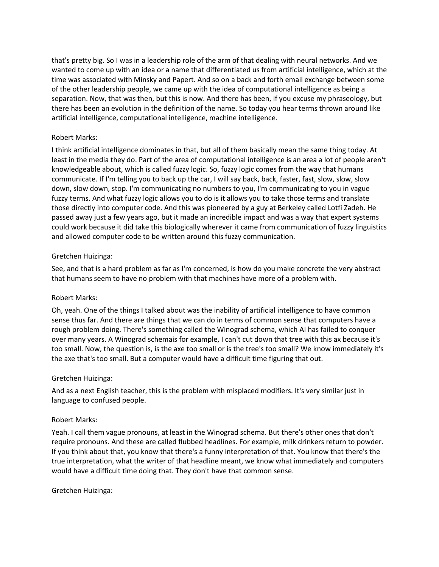that's pretty big. So I was in a leadership role of the arm of that dealing with neural networks. And we wanted to come up with an idea or a name that differentiated us from artificial intelligence, which at the time was associated with Minsky and Papert. And so on a back and forth email exchange between some of the other leadership people, we came up with the idea of computational intelligence as being a separation. Now, that was then, but this is now. And there has been, if you excuse my phraseology, but there has been an evolution in the definition of the name. So today you hear terms thrown around like artificial intelligence, computational intelligence, machine intelligence.

## Robert Marks:

I think artificial intelligence dominates in that, but all of them basically mean the same thing today. At least in the media they do. Part of the area of computational intelligence is an area a lot of people aren't knowledgeable about, which is called fuzzy logic. So, fuzzy logic comes from the way that humans communicate. If I'm telling you to back up the car, I will say back, back, faster, fast, slow, slow, slow down, slow down, stop. I'm communicating no numbers to you, I'm communicating to you in vague fuzzy terms. And what fuzzy logic allows you to do is it allows you to take those terms and translate those directly into computer code. And this was pioneered by a guy at Berkeley called Lotfi Zadeh. He passed away just a few years ago, but it made an incredible impact and was a way that expert systems could work because it did take this biologically wherever it came from communication of fuzzy linguistics and allowed computer code to be written around this fuzzy communication.

## Gretchen Huizinga:

See, and that is a hard problem as far as I'm concerned, is how do you make concrete the very abstract that humans seem to have no problem with that machines have more of a problem with.

## Robert Marks:

Oh, yeah. One of the things I talked about was the inability of artificial intelligence to have common sense thus far. And there are things that we can do in terms of common sense that computers have a rough problem doing. There's something called the Winograd schema, which AI has failed to conquer over many years. A Winograd schemais for example, I can't cut down that tree with this ax because it's too small. Now, the question is, is the axe too small or is the tree's too small? We know immediately it's the axe that's too small. But a computer would have a difficult time figuring that out.

## Gretchen Huizinga:

And as a next English teacher, this is the problem with misplaced modifiers. It's very similar just in language to confused people.

## Robert Marks:

Yeah. I call them vague pronouns, at least in the Winograd schema. But there's other ones that don't require pronouns. And these are called flubbed headlines. For example, milk drinkers return to powder. If you think about that, you know that there's a funny interpretation of that. You know that there's the true interpretation, what the writer of that headline meant, we know what immediately and computers would have a difficult time doing that. They don't have that common sense.

Gretchen Huizinga: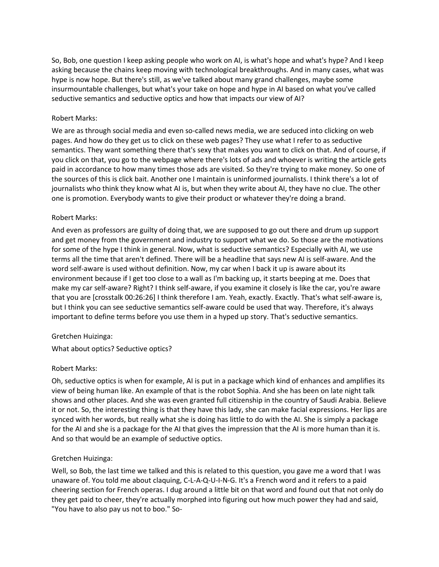So, Bob, one question I keep asking people who work on AI, is what's hope and what's hype? And I keep asking because the chains keep moving with technological breakthroughs. And in many cases, what was hype is now hope. But there's still, as we've talked about many grand challenges, maybe some insurmountable challenges, but what's your take on hope and hype in AI based on what you've called seductive semantics and seductive optics and how that impacts our view of AI?

### Robert Marks:

We are as through social media and even so-called news media, we are seduced into clicking on web pages. And how do they get us to click on these web pages? They use what I refer to as seductive semantics. They want something there that's sexy that makes you want to click on that. And of course, if you click on that, you go to the webpage where there's lots of ads and whoever is writing the article gets paid in accordance to how many times those ads are visited. So they're trying to make money. So one of the sources of this is click bait. Another one I maintain is uninformed journalists. I think there's a lot of journalists who think they know what AI is, but when they write about AI, they have no clue. The other one is promotion. Everybody wants to give their product or whatever they're doing a brand.

### Robert Marks:

And even as professors are guilty of doing that, we are supposed to go out there and drum up support and get money from the government and industry to support what we do. So those are the motivations for some of the hype I think in general. Now, what is seductive semantics? Especially with AI, we use terms all the time that aren't defined. There will be a headline that says new AI is self-aware. And the word self-aware is used without definition. Now, my car when I back it up is aware about its environment because if I get too close to a wall as I'm backing up, it starts beeping at me. Does that make my car self-aware? Right? I think self-aware, if you examine it closely is like the car, you're aware that you are [crosstalk 00:26:26] I think therefore I am. Yeah, exactly. Exactly. That's what self-aware is, but I think you can see seductive semantics self-aware could be used that way. Therefore, it's always important to define terms before you use them in a hyped up story. That's seductive semantics.

#### Gretchen Huizinga:

What about optics? Seductive optics?

## Robert Marks:

Oh, seductive optics is when for example, AI is put in a package which kind of enhances and amplifies its view of being human like. An example of that is the robot Sophia. And she has been on late night talk shows and other places. And she was even granted full citizenship in the country of Saudi Arabia. Believe it or not. So, the interesting thing is that they have this lady, she can make facial expressions. Her lips are synced with her words, but really what she is doing has little to do with the AI. She is simply a package for the AI and she is a package for the AI that gives the impression that the AI is more human than it is. And so that would be an example of seductive optics.

## Gretchen Huizinga:

Well, so Bob, the last time we talked and this is related to this question, you gave me a word that I was unaware of. You told me about claquing, C-L-A-Q-U-I-N-G. It's a French word and it refers to a paid cheering section for French operas. I dug around a little bit on that word and found out that not only do they get paid to cheer, they're actually morphed into figuring out how much power they had and said, "You have to also pay us not to boo." So-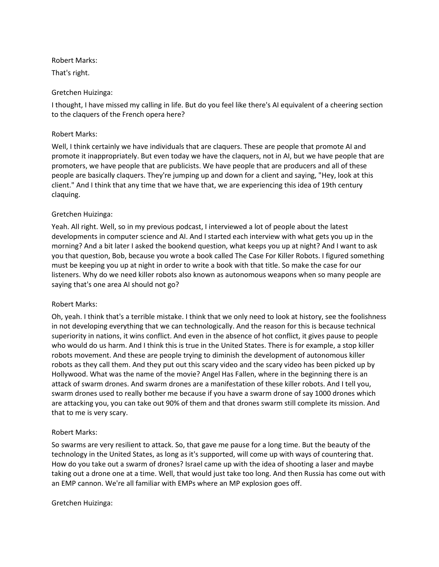## Robert Marks:

That's right.

## Gretchen Huizinga:

I thought, I have missed my calling in life. But do you feel like there's AI equivalent of a cheering section to the claquers of the French opera here?

## Robert Marks:

Well, I think certainly we have individuals that are claquers. These are people that promote AI and promote it inappropriately. But even today we have the claquers, not in AI, but we have people that are promoters, we have people that are publicists. We have people that are producers and all of these people are basically claquers. They're jumping up and down for a client and saying, "Hey, look at this client." And I think that any time that we have that, we are experiencing this idea of 19th century claquing.

## Gretchen Huizinga:

Yeah. All right. Well, so in my previous podcast, I interviewed a lot of people about the latest developments in computer science and AI. And I started each interview with what gets you up in the morning? And a bit later I asked the bookend question, what keeps you up at night? And I want to ask you that question, Bob, because you wrote a book called The Case For Killer Robots. I figured something must be keeping you up at night in order to write a book with that title. So make the case for our listeners. Why do we need killer robots also known as autonomous weapons when so many people are saying that's one area AI should not go?

## Robert Marks:

Oh, yeah. I think that's a terrible mistake. I think that we only need to look at history, see the foolishness in not developing everything that we can technologically. And the reason for this is because technical superiority in nations, it wins conflict. And even in the absence of hot conflict, it gives pause to people who would do us harm. And I think this is true in the United States. There is for example, a stop killer robots movement. And these are people trying to diminish the development of autonomous killer robots as they call them. And they put out this scary video and the scary video has been picked up by Hollywood. What was the name of the movie? Angel Has Fallen, where in the beginning there is an attack of swarm drones. And swarm drones are a manifestation of these killer robots. And I tell you, swarm drones used to really bother me because if you have a swarm drone of say 1000 drones which are attacking you, you can take out 90% of them and that drones swarm still complete its mission. And that to me is very scary.

## Robert Marks:

So swarms are very resilient to attack. So, that gave me pause for a long time. But the beauty of the technology in the United States, as long as it's supported, will come up with ways of countering that. How do you take out a swarm of drones? Israel came up with the idea of shooting a laser and maybe taking out a drone one at a time. Well, that would just take too long. And then Russia has come out with an EMP cannon. We're all familiar with EMPs where an MP explosion goes off.

## Gretchen Huizinga: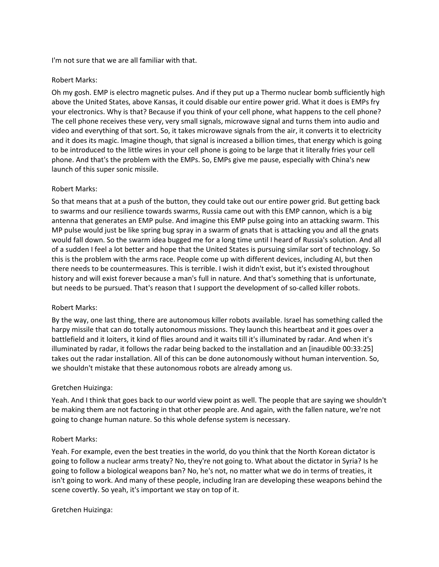I'm not sure that we are all familiar with that.

### Robert Marks:

Oh my gosh. EMP is electro magnetic pulses. And if they put up a Thermo nuclear bomb sufficiently high above the United States, above Kansas, it could disable our entire power grid. What it does is EMPs fry your electronics. Why is that? Because if you think of your cell phone, what happens to the cell phone? The cell phone receives these very, very small signals, microwave signal and turns them into audio and video and everything of that sort. So, it takes microwave signals from the air, it converts it to electricity and it does its magic. Imagine though, that signal is increased a billion times, that energy which is going to be introduced to the little wires in your cell phone is going to be large that it literally fries your cell phone. And that's the problem with the EMPs. So, EMPs give me pause, especially with China's new launch of this super sonic missile.

## Robert Marks:

So that means that at a push of the button, they could take out our entire power grid. But getting back to swarms and our resilience towards swarms, Russia came out with this EMP cannon, which is a big antenna that generates an EMP pulse. And imagine this EMP pulse going into an attacking swarm. This MP pulse would just be like spring bug spray in a swarm of gnats that is attacking you and all the gnats would fall down. So the swarm idea bugged me for a long time until I heard of Russia's solution. And all of a sudden I feel a lot better and hope that the United States is pursuing similar sort of technology. So this is the problem with the arms race. People come up with different devices, including AI, but then there needs to be countermeasures. This is terrible. I wish it didn't exist, but it's existed throughout history and will exist forever because a man's full in nature. And that's something that is unfortunate, but needs to be pursued. That's reason that I support the development of so-called killer robots.

#### Robert Marks:

By the way, one last thing, there are autonomous killer robots available. Israel has something called the harpy missile that can do totally autonomous missions. They launch this heartbeat and it goes over a battlefield and it loiters, it kind of flies around and it waits till it's illuminated by radar. And when it's illuminated by radar, it follows the radar being backed to the installation and an [inaudible 00:33:25] takes out the radar installation. All of this can be done autonomously without human intervention. So, we shouldn't mistake that these autonomous robots are already among us.

## Gretchen Huizinga:

Yeah. And I think that goes back to our world view point as well. The people that are saying we shouldn't be making them are not factoring in that other people are. And again, with the fallen nature, we're not going to change human nature. So this whole defense system is necessary.

## Robert Marks:

Yeah. For example, even the best treaties in the world, do you think that the North Korean dictator is going to follow a nuclear arms treaty? No, they're not going to. What about the dictator in Syria? Is he going to follow a biological weapons ban? No, he's not, no matter what we do in terms of treaties, it isn't going to work. And many of these people, including Iran are developing these weapons behind the scene covertly. So yeah, it's important we stay on top of it.

#### Gretchen Huizinga: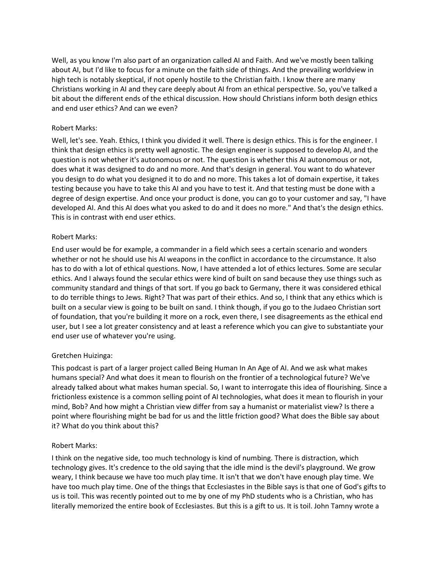Well, as you know I'm also part of an organization called AI and Faith. And we've mostly been talking about AI, but I'd like to focus for a minute on the faith side of things. And the prevailing worldview in high tech is notably skeptical, if not openly hostile to the Christian faith. I know there are many Christians working in AI and they care deeply about AI from an ethical perspective. So, you've talked a bit about the different ends of the ethical discussion. How should Christians inform both design ethics and end user ethics? And can we even?

## Robert Marks:

Well, let's see. Yeah. Ethics, I think you divided it well. There is design ethics. This is for the engineer. I think that design ethics is pretty well agnostic. The design engineer is supposed to develop AI, and the question is not whether it's autonomous or not. The question is whether this AI autonomous or not, does what it was designed to do and no more. And that's design in general. You want to do whatever you design to do what you designed it to do and no more. This takes a lot of domain expertise, it takes testing because you have to take this AI and you have to test it. And that testing must be done with a degree of design expertise. And once your product is done, you can go to your customer and say, "I have developed AI. And this AI does what you asked to do and it does no more." And that's the design ethics. This is in contrast with end user ethics.

## Robert Marks:

End user would be for example, a commander in a field which sees a certain scenario and wonders whether or not he should use his AI weapons in the conflict in accordance to the circumstance. It also has to do with a lot of ethical questions. Now, I have attended a lot of ethics lectures. Some are secular ethics. And I always found the secular ethics were kind of built on sand because they use things such as community standard and things of that sort. If you go back to Germany, there it was considered ethical to do terrible things to Jews. Right? That was part of their ethics. And so, I think that any ethics which is built on a secular view is going to be built on sand. I think though, if you go to the Judaeo Christian sort of foundation, that you're building it more on a rock, even there, I see disagreements as the ethical end user, but I see a lot greater consistency and at least a reference which you can give to substantiate your end user use of whatever you're using.

# Gretchen Huizinga:

This podcast is part of a larger project called Being Human In An Age of AI. And we ask what makes humans special? And what does it mean to flourish on the frontier of a technological future? We've already talked about what makes human special. So, I want to interrogate this idea of flourishing. Since a frictionless existence is a common selling point of AI technologies, what does it mean to flourish in your mind, Bob? And how might a Christian view differ from say a humanist or materialist view? Is there a point where flourishing might be bad for us and the little friction good? What does the Bible say about it? What do you think about this?

# Robert Marks:

I think on the negative side, too much technology is kind of numbing. There is distraction, which technology gives. It's credence to the old saying that the idle mind is the devil's playground. We grow weary, I think because we have too much play time. It isn't that we don't have enough play time. We have too much play time. One of the things that Ecclesiastes in the Bible says is that one of God's gifts to us is toil. This was recently pointed out to me by one of my PhD students who is a Christian, who has literally memorized the entire book of Ecclesiastes. But this is a gift to us. It is toil. John Tamny wrote a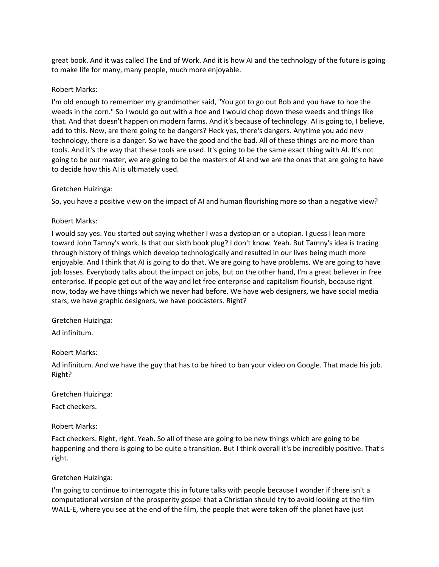great book. And it was called The End of Work. And it is how AI and the technology of the future is going to make life for many, many people, much more enjoyable.

### Robert Marks:

I'm old enough to remember my grandmother said, "You got to go out Bob and you have to hoe the weeds in the corn." So I would go out with a hoe and I would chop down these weeds and things like that. And that doesn't happen on modern farms. And it's because of technology. AI is going to, I believe, add to this. Now, are there going to be dangers? Heck yes, there's dangers. Anytime you add new technology, there is a danger. So we have the good and the bad. All of these things are no more than tools. And it's the way that these tools are used. It's going to be the same exact thing with AI. It's not going to be our master, we are going to be the masters of AI and we are the ones that are going to have to decide how this AI is ultimately used.

### Gretchen Huizinga:

So, you have a positive view on the impact of AI and human flourishing more so than a negative view?

### Robert Marks:

I would say yes. You started out saying whether I was a dystopian or a utopian. I guess I lean more toward John Tamny's work. Is that our sixth book plug? I don't know. Yeah. But Tamny's idea is tracing through history of things which develop technologically and resulted in our lives being much more enjoyable. And I think that AI is going to do that. We are going to have problems. We are going to have job losses. Everybody talks about the impact on jobs, but on the other hand, I'm a great believer in free enterprise. If people get out of the way and let free enterprise and capitalism flourish, because right now, today we have things which we never had before. We have web designers, we have social media stars, we have graphic designers, we have podcasters. Right?

#### Gretchen Huizinga:

Ad infinitum.

#### Robert Marks:

Ad infinitum. And we have the guy that has to be hired to ban your video on Google. That made his job. Right?

#### Gretchen Huizinga:

Fact checkers.

## Robert Marks:

Fact checkers. Right, right. Yeah. So all of these are going to be new things which are going to be happening and there is going to be quite a transition. But I think overall it's be incredibly positive. That's right.

## Gretchen Huizinga:

I'm going to continue to interrogate this in future talks with people because I wonder if there isn't a computational version of the prosperity gospel that a Christian should try to avoid looking at the film WALL-E, where you see at the end of the film, the people that were taken off the planet have just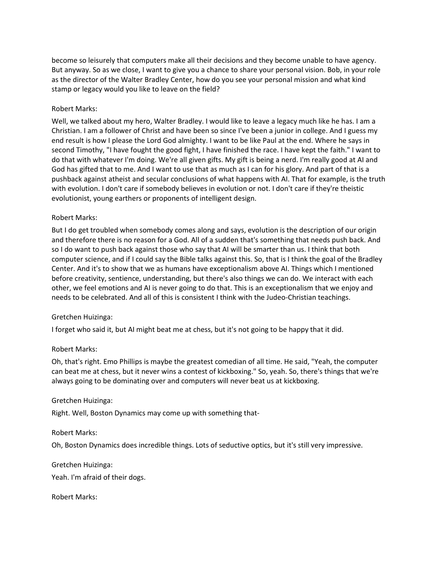become so leisurely that computers make all their decisions and they become unable to have agency. But anyway. So as we close, I want to give you a chance to share your personal vision. Bob, in your role as the director of the Walter Bradley Center, how do you see your personal mission and what kind stamp or legacy would you like to leave on the field?

## Robert Marks:

Well, we talked about my hero, Walter Bradley. I would like to leave a legacy much like he has. I am a Christian. I am a follower of Christ and have been so since I've been a junior in college. And I guess my end result is how I please the Lord God almighty. I want to be like Paul at the end. Where he says in second Timothy, "I have fought the good fight, I have finished the race. I have kept the faith." I want to do that with whatever I'm doing. We're all given gifts. My gift is being a nerd. I'm really good at AI and God has gifted that to me. And I want to use that as much as I can for his glory. And part of that is a pushback against atheist and secular conclusions of what happens with AI. That for example, is the truth with evolution. I don't care if somebody believes in evolution or not. I don't care if they're theistic evolutionist, young earthers or proponents of intelligent design.

### Robert Marks:

But I do get troubled when somebody comes along and says, evolution is the description of our origin and therefore there is no reason for a God. All of a sudden that's something that needs push back. And so I do want to push back against those who say that AI will be smarter than us. I think that both computer science, and if I could say the Bible talks against this. So, that is I think the goal of the Bradley Center. And it's to show that we as humans have exceptionalism above AI. Things which I mentioned before creativity, sentience, understanding, but there's also things we can do. We interact with each other, we feel emotions and AI is never going to do that. This is an exceptionalism that we enjoy and needs to be celebrated. And all of this is consistent I think with the Judeo-Christian teachings.

#### Gretchen Huizinga:

I forget who said it, but AI might beat me at chess, but it's not going to be happy that it did.

#### Robert Marks:

Oh, that's right. Emo Phillips is maybe the greatest comedian of all time. He said, "Yeah, the computer can beat me at chess, but it never wins a contest of kickboxing." So, yeah. So, there's things that we're always going to be dominating over and computers will never beat us at kickboxing.

#### Gretchen Huizinga:

Right. Well, Boston Dynamics may come up with something that-

#### Robert Marks:

Oh, Boston Dynamics does incredible things. Lots of seductive optics, but it's still very impressive.

## Gretchen Huizinga:

Yeah. I'm afraid of their dogs.

Robert Marks: